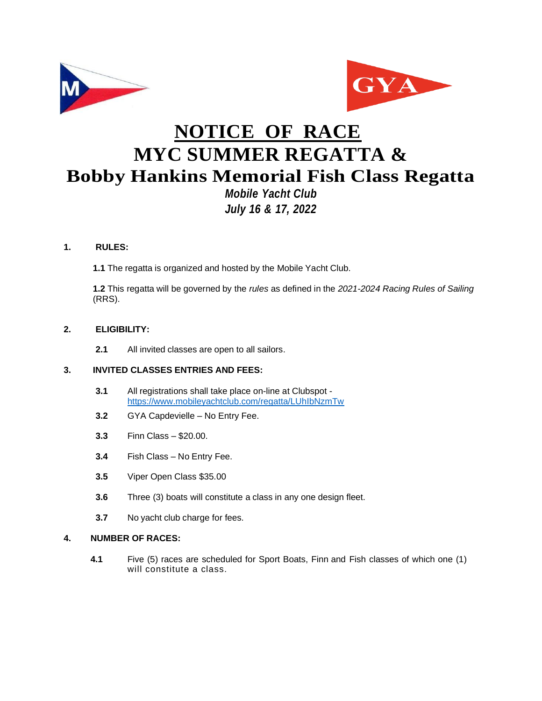



# **NOTICE OF RACE MYC SUMMER REGATTA & Bobby Hankins Memorial Fish Class Regatta** *Mobile Yacht Club*

# *July 16 & 17, 2022*

# **1. RULES:**

**1.1** The regatta is organized and hosted by the Mobile Yacht Club.

**1.2** This regatta will be governed by the *rules* as defined in the *2021-2024 Racing Rules of Sailing* (RRS).

# **2. ELIGIBILITY:**

**2.1** All invited classes are open to all sailors.

# **3. INVITED CLASSES ENTRIES AND FEES:**

- **3.1** All registrations shall take place on-line at Clubspot <https://www.mobileyachtclub.com/regatta/LUhIbNzmTw>
- **3.2** GYA Capdevielle No Entry Fee.
- **3.3** Finn Class \$20.00.
- **3.4** Fish Class No Entry Fee.
- **3.5** Viper Open Class \$35.00
- **3.6** Three (3) boats will constitute a class in any one design fleet.
- **3.7** No yacht club charge for fees.

### **4. NUMBER OF RACES:**

**4.1** Five (5) races are scheduled for Sport Boats, Finn and Fish classes of which one (1) will constitute a class.